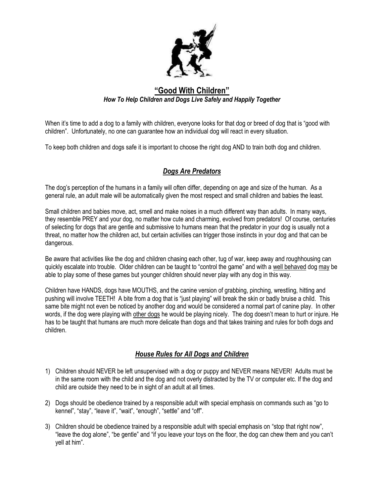

## **"Good With Children"** *How To Help Children and Dogs Live Safely and Happily Together*

When it's time to add a dog to a family with children, everyone looks for that dog or breed of dog that is "good with children". Unfortunately, no one can guarantee how an individual dog will react in every situation.

To keep both children and dogs safe it is important to choose the right dog AND to train both dog and children.

## *Dogs Are Predators*

The dog's perception of the humans in a family will often differ, depending on age and size of the human. As a general rule, an adult male will be automatically given the most respect and small children and babies the least.

Small children and babies move, act, smell and make noises in a much different way than adults. In many ways, they resemble PREY and your dog, no matter how cute and charming, evolved from predators! Of course, centuries of selecting for dogs that are gentle and submissive to humans mean that the predator in your dog is usually not a threat, no matter how the children act, but certain activities can trigger those instincts in your dog and that can be dangerous.

Be aware that activities like the dog and children chasing each other, tug of war, keep away and roughhousing can quickly escalate into trouble. Older children can be taught to "control the game" and with a well behaved dog may be able to play some of these games but younger children should never play with any dog in this way.

Children have HANDS, dogs have MOUTHS, and the canine version of grabbing, pinching, wrestling, hitting and pushing will involve TEETH! A bite from a dog that is "just playing" will break the skin or badly bruise a child. This same bite might not even be noticed by another dog and would be considered a normal part of canine play. In other words, if the dog were playing with other dogs he would be playing nicely. The dog doesn't mean to hurt or injure. He has to be taught that humans are much more delicate than dogs and that takes training and rules for both dogs and children.

## *House Rules for All Dogs and Children*

- 1) Children should NEVER be left unsupervised with a dog or puppy and NEVER means NEVER! Adults must be in the same room with the child and the dog and not overly distracted by the TV or computer etc. If the dog and child are outside they need to be in sight of an adult at all times.
- 2) Dogs should be obedience trained by a responsible adult with special emphasis on commands such as "go to kennel", "stay", "leave it", "wait", "enough", "settle" and "off".
- 3) Children should be obedience trained by a responsible adult with special emphasis on "stop that right now", "leave the dog alone", "be gentle" and "if you leave your toys on the floor, the dog can chew them and you can't yell at him".